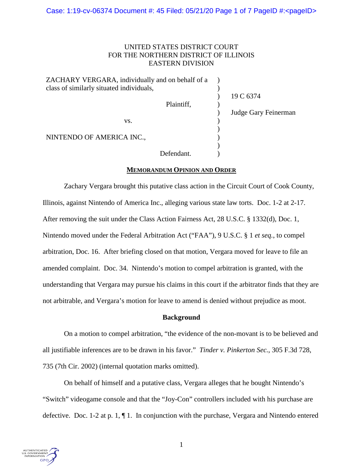# UNITED STATES DISTRICT COURT FOR THE NORTHERN DISTRICT OF ILLINOIS EASTERN DIVISION

| ZACHARY VERGARA, individually and on behalf of a |                      |  |
|--------------------------------------------------|----------------------|--|
| class of similarly situated individuals,         | 19 C 6374            |  |
| Plaintiff,                                       |                      |  |
|                                                  | Judge Gary Feinerman |  |
| VS.                                              |                      |  |
| NINTENDO OF AMERICA INC.,                        |                      |  |
|                                                  |                      |  |
| Defendant.                                       |                      |  |

# **MEMORANDUM OPINION AND ORDER**

Zachary Vergara brought this putative class action in the Circuit Court of Cook County, Illinois, against Nintendo of America Inc., alleging various state law torts. Doc. 1-2 at 2-17. After removing the suit under the Class Action Fairness Act, 28 U.S.C. § 1332(d), Doc. 1, Nintendo moved under the Federal Arbitration Act ("FAA"), 9 U.S.C. § 1 *et seq.*, to compel arbitration, Doc. 16. After briefing closed on that motion, Vergara moved for leave to file an amended complaint. Doc. 34. Nintendo's motion to compel arbitration is granted, with the understanding that Vergara may pursue his claims in this court if the arbitrator finds that they are not arbitrable, and Vergara's motion for leave to amend is denied without prejudice as moot.

# **Background**

On a motion to compel arbitration, "the evidence of the non-movant is to be believed and all justifiable inferences are to be drawn in his favor." *Tinder v. Pinkerton Sec.*, 305 F.3d 728, 735 (7th Cir. 2002) (internal quotation marks omitted).

On behalf of himself and a putative class, Vergara alleges that he bought Nintendo's "Switch" videogame console and that the "Joy-Con" controllers included with his purchase are defective. Doc. 1-2 at p. 1, ¶ 1. In conjunction with the purchase, Vergara and Nintendo entered

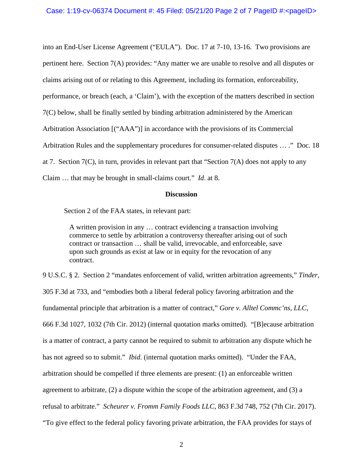into an End-User License Agreement ("EULA"). Doc. 17 at 7-10, 13-16. Two provisions are pertinent here. Section 7(A) provides: "Any matter we are unable to resolve and all disputes or claims arising out of or relating to this Agreement, including its formation, enforceability, performance, or breach (each, a 'Claim'), with the exception of the matters described in section 7(C) below, shall be finally settled by binding arbitration administered by the American Arbitration Association [("AAA")] in accordance with the provisions of its Commercial Arbitration Rules and the supplementary procedures for consumer-related disputes … ." Doc. 18 at 7. Section 7(C), in turn, provides in relevant part that "Section 7(A) does not apply to any Claim … that may be brought in small-claims court." *Id*. at 8.

#### **Discussion**

Section 2 of the FAA states, in relevant part:

A written provision in any … contract evidencing a transaction involving commerce to settle by arbitration a controversy thereafter arising out of such contract or transaction … shall be valid, irrevocable, and enforceable, save upon such grounds as exist at law or in equity for the revocation of any contract.

9 U.S.C. § 2. Section 2 "mandates enforcement of valid, written arbitration agreements," *Tinder*, 305 F.3d at 733, and "embodies both a liberal federal policy favoring arbitration and the fundamental principle that arbitration is a matter of contract," *Gore v. Alltel Commc'ns, LLC*, 666 F.3d 1027, 1032 (7th Cir. 2012) (internal quotation marks omitted). "[B]ecause arbitration is a matter of contract, a party cannot be required to submit to arbitration any dispute which he has not agreed so to submit." *Ibid*. (internal quotation marks omitted). "Under the FAA, arbitration should be compelled if three elements are present: (1) an enforceable written agreement to arbitrate, (2) a dispute within the scope of the arbitration agreement, and (3) a refusal to arbitrate." *Scheurer v. Fromm Family Foods LLC*, 863 F.3d 748, 752 (7th Cir. 2017). "To give effect to the federal policy favoring private arbitration, the FAA provides for stays of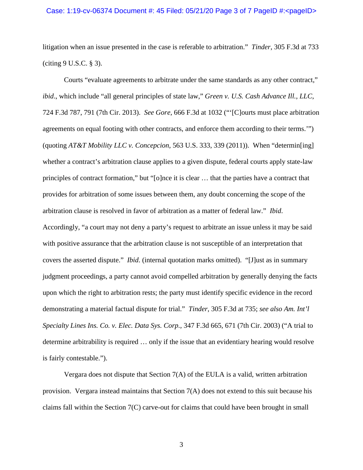#### Case: 1:19-cv-06374 Document #: 45 Filed: 05/21/20 Page 3 of 7 PageID #:<pageID>

litigation when an issue presented in the case is referable to arbitration." *Tinder*, 305 F.3d at 733 (citing 9 U.S.C. § 3).

Courts "evaluate agreements to arbitrate under the same standards as any other contract," *ibid*., which include "all general principles of state law," *Green v. U.S. Cash Advance Ill., LLC*, 724 F.3d 787, 791 (7th Cir. 2013). *See Gore*, 666 F.3d at 1032 ("'[C]ourts must place arbitration agreements on equal footing with other contracts, and enforce them according to their terms.'") (quoting *AT&T Mobility LLC v. Concepcion*, 563 U.S. 333, 339 (2011)). When "determin[ing] whether a contract's arbitration clause applies to a given dispute, federal courts apply state-law principles of contract formation," but "[o]nce it is clear … that the parties have a contract that provides for arbitration of some issues between them, any doubt concerning the scope of the arbitration clause is resolved in favor of arbitration as a matter of federal law." *Ibid*. Accordingly, "a court may not deny a party's request to arbitrate an issue unless it may be said with positive assurance that the arbitration clause is not susceptible of an interpretation that covers the asserted dispute." *Ibid*. (internal quotation marks omitted). "[J]ust as in summary judgment proceedings, a party cannot avoid compelled arbitration by generally denying the facts upon which the right to arbitration rests; the party must identify specific evidence in the record demonstrating a material factual dispute for trial." *Tinder*, 305 F.3d at 735; *see also Am. Int'l Specialty Lines Ins. Co. v. Elec. Data Sys. Corp.*, 347 F.3d 665, 671 (7th Cir. 2003) ("A trial to determine arbitrability is required … only if the issue that an evidentiary hearing would resolve is fairly contestable.").

Vergara does not dispute that Section 7(A) of the EULA is a valid, written arbitration provision. Vergara instead maintains that Section 7(A) does not extend to this suit because his claims fall within the Section 7(C) carve-out for claims that could have been brought in small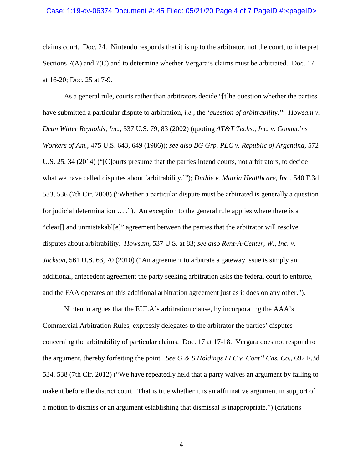claims court. Doc. 24. Nintendo responds that it is up to the arbitrator, not the court, to interpret Sections 7(A) and 7(C) and to determine whether Vergara's claims must be arbitrated. Doc. 17 at 16-20; Doc. 25 at 7-9.

As a general rule, courts rather than arbitrators decide "[t]he question whether the parties have submitted a particular dispute to arbitration, *i.e.*, the '*question of arbitrability*.'" *Howsam v. Dean Witter Reynolds, Inc.*, 537 U.S. 79, 83 (2002) (quoting *AT&T Techs., Inc. v. Commc'ns Workers of Am.*, 475 U.S. 643, 649 (1986)); *see also BG Grp. PLC v. Republic of Argentina*, 572 U.S. 25, 34 (2014) ("[C]ourts presume that the parties intend courts, not arbitrators, to decide what we have called disputes about 'arbitrability.'"); *Duthie v. Matria Healthcare, Inc.*, 540 F.3d 533, 536 (7th Cir. 2008) ("Whether a particular dispute must be arbitrated is generally a question for judicial determination  $\dots$ ."). An exception to the general rule applies where there is a "clear[] and unmistakabl[e]" agreement between the parties that the arbitrator will resolve disputes about arbitrability. *Howsam*, 537 U.S. at 83; *see also Rent-A-Center, W., Inc. v. Jackson*, 561 U.S. 63, 70 (2010) ("An agreement to arbitrate a gateway issue is simply an additional, antecedent agreement the party seeking arbitration asks the federal court to enforce, and the FAA operates on this additional arbitration agreement just as it does on any other.").

Nintendo argues that the EULA's arbitration clause, by incorporating the AAA's Commercial Arbitration Rules, expressly delegates to the arbitrator the parties' disputes concerning the arbitrability of particular claims. Doc. 17 at 17-18. Vergara does not respond to the argument, thereby forfeiting the point. *See G & S Holdings LLC v. Cont'l Cas. Co.*, 697 F.3d 534, 538 (7th Cir. 2012) ("We have repeatedly held that a party waives an argument by failing to make it before the district court. That is true whether it is an affirmative argument in support of a motion to dismiss or an argument establishing that dismissal is inappropriate.") (citations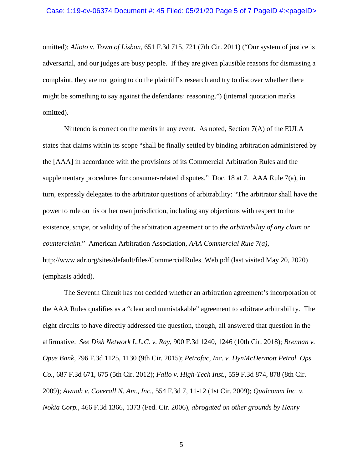omitted); *Alioto v. Town of Lisbon*, 651 F.3d 715, 721 (7th Cir. 2011) ("Our system of justice is adversarial, and our judges are busy people. If they are given plausible reasons for dismissing a complaint, they are not going to do the plaintiff's research and try to discover whether there might be something to say against the defendants' reasoning.") (internal quotation marks omitted).

Nintendo is correct on the merits in any event. As noted, Section 7(A) of the EULA states that claims within its scope "shall be finally settled by binding arbitration administered by the [AAA] in accordance with the provisions of its Commercial Arbitration Rules and the supplementary procedures for consumer-related disputes." Doc. 18 at 7. AAA Rule 7(a), in turn, expressly delegates to the arbitrator questions of arbitrability: "The arbitrator shall have the power to rule on his or her own jurisdiction, including any objections with respect to the existence, *scope*, or validity of the arbitration agreement or to *the arbitrability of any claim or counterclaim*." American Arbitration Association, *AAA Commercial Rule 7(a)*, http://www.adr.org/sites/default/files/CommercialRules\_Web.pdf (last visited May 20, 2020) (emphasis added).

The Seventh Circuit has not decided whether an arbitration agreement's incorporation of the AAA Rules qualifies as a "clear and unmistakable" agreement to arbitrate arbitrability. The eight circuits to have directly addressed the question, though, all answered that question in the affirmative. *See Dish Network L.L.C. v. Ray*, 900 F.3d 1240, 1246 (10th Cir. 2018); *Brennan v. Opus Bank*, 796 F.3d 1125, 1130 (9th Cir. 2015); *Petrofac, Inc. v. DynMcDermott Petrol. Ops. Co.*, 687 F.3d 671, 675 (5th Cir. 2012); *Fallo v. High-Tech Inst.*, 559 F.3d 874, 878 (8th Cir. 2009); *Awuah v. Coverall N. Am., Inc.*, 554 F.3d 7, 11-12 (1st Cir. 2009); *Qualcomm Inc. v. Nokia Corp.*, 466 F.3d 1366, 1373 (Fed. Cir. 2006), *abrogated on other grounds by Henry*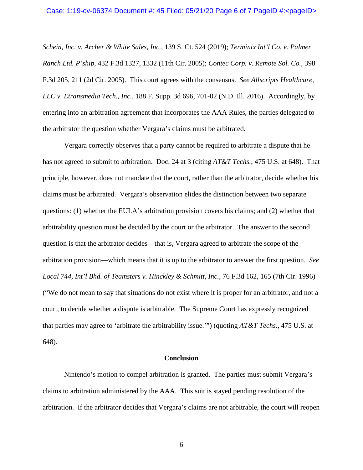*Schein, Inc. v. Archer & White Sales, Inc.*, 139 S. Ct. 524 (2019); *Terminix Int'l Co. v. Palmer Ranch Ltd. P'ship*, 432 F.3d 1327, 1332 (11th Cir. 2005); *Contec Corp. v. Remote Sol. Co.*, 398 F.3d 205, 211 (2d Cir. 2005). This court agrees with the consensus. *See Allscripts Healthcare, LLC v. Etransmedia Tech., Inc.*, 188 F. Supp. 3d 696, 701-02 (N.D. Ill. 2016). Accordingly, by entering into an arbitration agreement that incorporates the AAA Rules, the parties delegated to the arbitrator the question whether Vergara's claims must be arbitrated.

Vergara correctly observes that a party cannot be required to arbitrate a dispute that he has not agreed to submit to arbitration. Doc. 24 at 3 (citing *AT&T Techs.*, 475 U.S. at 648). That principle, however, does not mandate that the court, rather than the arbitrator, decide whether his claims must be arbitrated. Vergara's observation elides the distinction between two separate questions: (1) whether the EULA's arbitration provision covers his claims; and (2) whether that arbitrability question must be decided by the court or the arbitrator. The answer to the second question is that the arbitrator decides—that is, Vergara agreed to arbitrate the scope of the arbitration provision—which means that it is up to the arbitrator to answer the first question. *See Local 744, Int'l Bhd. of Teamsters v. Hinckley & Schmitt, Inc.*, 76 F.3d 162, 165 (7th Cir. 1996) ("We do not mean to say that situations do not exist where it is proper for an arbitrator, and not a court, to decide whether a dispute is arbitrable. The Supreme Court has expressly recognized that parties may agree to 'arbitrate the arbitrability issue.'") (quoting *AT&T Techs.*, 475 U.S. at 648).

### **Conclusion**

Nintendo's motion to compel arbitration is granted. The parties must submit Vergara's claims to arbitration administered by the AAA. This suit is stayed pending resolution of the arbitration. If the arbitrator decides that Vergara's claims are not arbitrable, the court will reopen